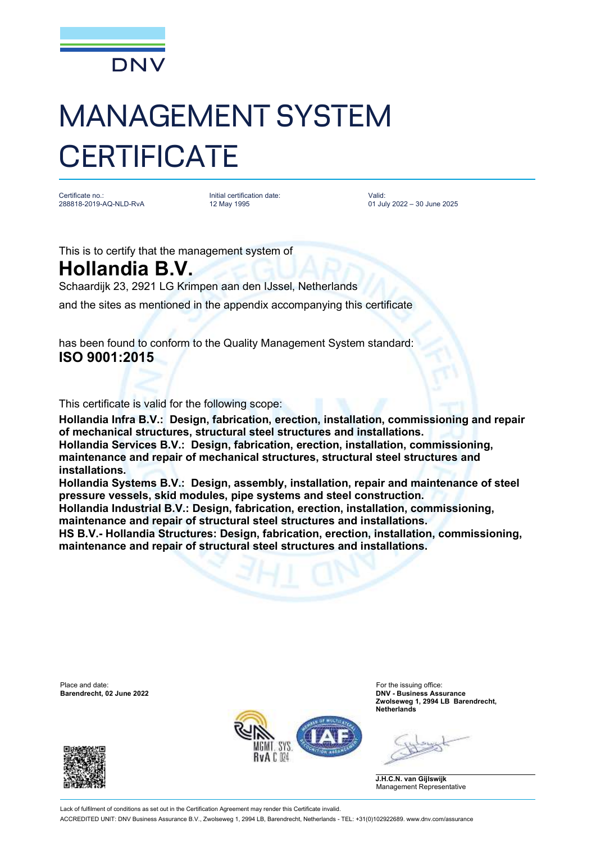

## MANAGEMENT SYSTEM **CERTIFICATE**

Certificate no.: 288818-2019-AQ-NLD-RvA Initial certification date: 12 May 1995

Valid: 01 July 2022 – 30 June 2025

This is to certify that the management system of

**Hollandia B.V.**

Schaardijk 23, 2921 LG Krimpen aan den IJssel, Netherlands

and the sites as mentioned in the appendix accompanying this certificate

has been found to conform to the Quality Management System standard: **ISO 9001:2015**

This certificate is valid for the following scope:

**Hollandia Infra B.V.: Design, fabrication, erection, installation, commissioning and repair of mechanical structures, structural steel structures and installations. Hollandia Services B.V.: Design, fabrication, erection, installation, commissioning, maintenance and repair of mechanical structures, structural steel structures and installations.** 

**Hollandia Systems B.V.: Design, assembly, installation, repair and maintenance of steel pressure vessels, skid modules, pipe systems and steel construction.** 

**Hollandia Industrial B.V.: Design, fabrication, erection, installation, commissioning, maintenance and repair of structural steel structures and installations.**

**HS B.V.- Hollandia Structures: Design, fabrication, erection, installation, commissioning, maintenance and repair of structural steel structures and installations.**

Place and date: For the issuing office:<br> **Barendrecht, 02 June 2022 Example 2022 Example 2022 Example 2022 Example 2022** 





**Barendrecht, 02 June 2022 DNV - Business Assurance Zwolseweg 1, 2994 LB Barendrecht, Netherlands**

**J.H.C.N. van Gijlswijk** Management Representative

Lack of fulfilment of conditions as set out in the Certification Agreement may render this Certificate invalid. ACCREDITED UNIT: DNV Business Assurance B.V., Zwolseweg 1, 2994 LB, Barendrecht, Netherlands - TEL: +31(0)102922689. www.dnv.com/assurance